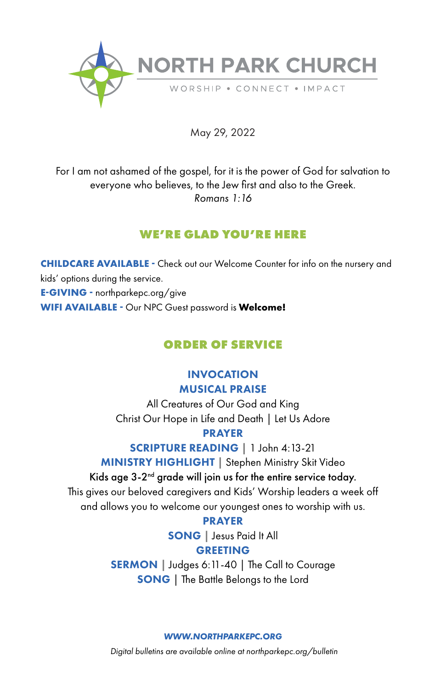

May 29, 2022

For I am not ashamed of the gospel, for it is the power of God for salvation to everyone who believes, to the Jew first and also to the Greek. *Romans 1:16*

# **WE'RE GLAD YOU'RE HERE**

**CHILDCARE AVAILABLE -** Check out our Welcome Counter for info on the nursery and kids' options during the service. **E-GIVING -** northparkepc.org/give **WIFI AVAILABLE -** Our NPC Guest password is **Welcome!**

# **ORDER OF SERVICE**

# INVOCATION MUSICAL PRAISE

All Creatures of Our God and King Christ Our Hope in Life and Death | Let Us Adore PRAYER

SCRIPTURE READING **|** 1 John 4:13-21 MINISTRY HIGHLIGHT **|** Stephen Ministry Skit Video

# Kids age  $3-2<sup>nd</sup>$  grade will join us for the entire service today.

This gives our beloved caregivers and Kids' Worship leaders a week off and allows you to welcome our youngest ones to worship with us.

### PRAYER

SONG | Jesus Paid It All **GREETING** 

SERMON | Judges 6:11-40 | The Call to Courage SONG | The Battle Belongs to the Lord

*WWW.NORTHPARKEPC.ORG*

*Digital bulletins are available online at northparkepc.org/bulletin*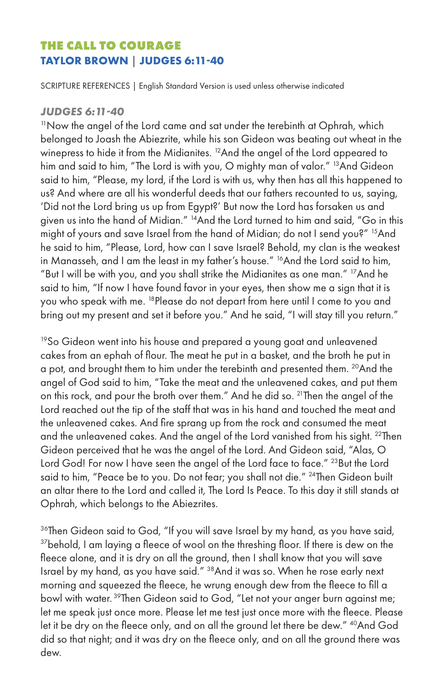# **THE CALL TO COURAGE TAYLOR BROWN | JUDGES 6:11-40**

SCRIPTURE REFERENCES | English Standard Version is used unless otherwise indicated

### *JUDGES 6:11-40*

<sup>11</sup> Now the angel of the Lord came and sat under the terebinth at Ophrah, which belonged to Joash the Abiezrite, while his son Gideon was beating out wheat in the winepress to hide it from the Midianites. <sup>12</sup>And the angel of the Lord appeared to him and said to him, "The Lord is with you, O mighty man of valor." <sup>13</sup>And Gideon said to him, "Please, my lord, if the Lord is with us, why then has all this happened to us? And where are all his wonderful deeds that our fathers recounted to us, saying, 'Did not the Lord bring us up from Egypt?' But now the Lord has forsaken us and given us into the hand of Midian." 14And the Lord turned to him and said, "Go in this might of yours and save Israel from the hand of Midian; do not I send you?" 15And he said to him, "Please, Lord, how can I save Israel? Behold, my clan is the weakest in Manasseh, and I am the least in my father's house." <sup>16</sup>And the Lord said to him, "But I will be with you, and you shall strike the Midianites as one man." 17And he said to him, "If now I have found favor in your eyes, then show me a sign that it is you who speak with me. <sup>18</sup>Please do not depart from here until I come to you and bring out my present and set it before you." And he said, "I will stay till you return."

<sup>19</sup>So Gideon went into his house and prepared a young goat and unleavened cakes from an ephah of flour. The meat he put in a basket, and the broth he put in a pot, and brought them to him under the terebinth and presented them. <sup>20</sup>And the angel of God said to him, "Take the meat and the unleavened cakes, and put them on this rock, and pour the broth over them." And he did so. 21Then the angel of the Lord reached out the tip of the staff that was in his hand and touched the meat and the unleavened cakes. And fire sprang up from the rock and consumed the meat and the unleavened cakes. And the angel of the Lord vanished from his sight. <sup>22</sup>Then Gideon perceived that he was the angel of the Lord. And Gideon said, "Alas, O Lord God! For now I have seen the angel of the Lord face to face." <sup>23</sup>But the Lord said to him, "Peace be to you. Do not fear; you shall not die." <sup>24</sup>Then Gideon built an altar there to the Lord and called it, The Lord Is Peace. To this day it still stands at Ophrah, which belongs to the Abiezrites.

<sup>36</sup>Then Gideon said to God, "If you will save Israel by my hand, as you have said, <sup>37</sup>behold, I am laying a fleece of wool on the threshing floor. If there is dew on the fleece alone, and it is dry on all the ground, then I shall know that you will save Israel by my hand, as you have said." 38And it was so. When he rose early next morning and squeezed the fleece, he wrung enough dew from the fleece to fill a bowl with water. 39Then Gideon said to God, "Let not your anger burn against me; let me speak just once more. Please let me test just once more with the fleece. Please let it be dry on the fleece only, and on all the ground let there be dew." <sup>40</sup>And God did so that night; and it was dry on the fleece only, and on all the ground there was dew.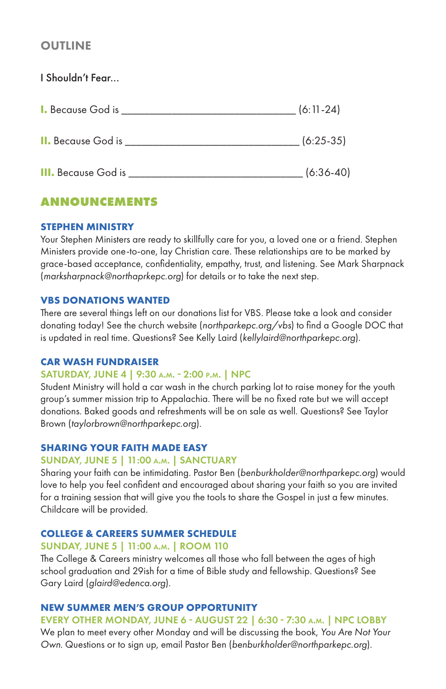# **OUTLINE**

I Shouldn't Fear... **I.** Because God is \_\_\_\_\_\_\_\_\_\_\_\_\_\_\_\_\_\_\_\_\_\_\_\_\_\_\_\_\_\_\_ (6:11-24) **II.** Because God is \_\_\_\_\_\_\_\_\_\_\_\_\_\_\_\_\_\_\_\_\_\_\_\_\_\_\_\_\_\_\_ (6:25-35) **III.** Because God is \_\_\_\_\_\_\_\_\_\_\_\_\_\_\_\_\_\_\_\_\_\_\_\_\_\_\_\_\_\_\_ (6:36-40)

# **ANNOUNCEMENTS**

#### **STEPHEN MINISTRY**

Your Stephen Ministers are ready to skillfully care for you, a loved one or a friend. Stephen Ministers provide one-to-one, lay Christian care. These relationships are to be marked by grace-based acceptance, confidentiality, empathy, trust, and listening. See Mark Sharpnack (*marksharpnack@northaprkepc.org*) for details or to take the next step.

#### **VBS DONATIONS WANTED**

There are several things left on our donations list for VBS. Please take a look and consider donating today! See the church website (*northparkepc.org/vbs*) to find a Google DOC that is updated in real time. Questions? See Kelly Laird (*kellylaird@northparkepc.org*).

#### **CAR WASH FUNDRAISER**

### SATURDAY, JUNE 4 | 9:30 a.m. - 2:00 p.m. | NPC

Student Ministry will hold a car wash in the church parking lot to raise money for the youth group's summer mission trip to Appalachia. There will be no fixed rate but we will accept donations. Baked goods and refreshments will be on sale as well. Questions? See Taylor Brown (*taylorbrown@northparkepc.org*).

#### **SHARING YOUR FAITH MADE EASY**

### SUNDAY, JUNE 5 | 11:00 a.m. | SANCTUARY

Sharing your faith can be intimidating. Pastor Ben (*benburkholder@northparkepc.org*) would love to help you feel confident and encouraged about sharing your faith so you are invited for a training session that will give you the tools to share the Gospel in just a few minutes. Childcare will be provided.

#### **COLLEGE & CAREERS SUMMER SCHEDULE**

#### SUNDAY, JUNE 5 | 11:00 a.m. | ROOM 110

The College & Careers ministry welcomes all those who fall between the ages of high school graduation and 29ish for a time of Bible study and fellowship. Questions? See Gary Laird (*glaird@edenca.org*).

#### **NEW SUMMER MEN'S GROUP OPPORTUNITY**

### EVERY OTHER MONDAY, JUNE 6 - AUGUST 22 | 6:30 - 7:30 a.m. | NPC LOBBY

We plan to meet every other Monday and will be discussing the book, *You Are Not Your Own*. Questions or to sign up, email Pastor Ben (*benburkholder@northparkepc.org*).